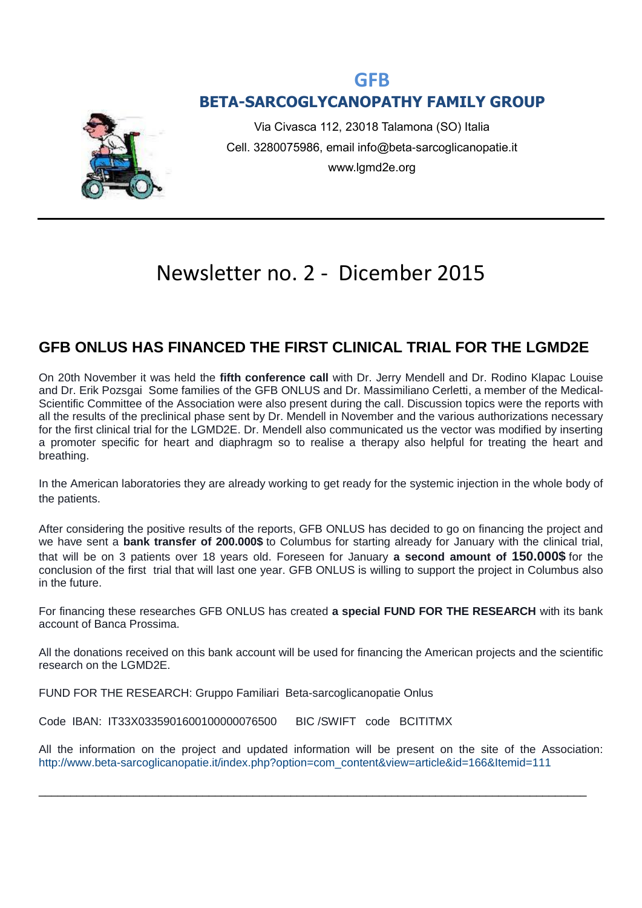## **GFB BETA-SARCOGLYCANOPATHY FAMILY GROUP**



Via Civasca 112, 23018 Talamona (SO) Italia Cell. 3280075986, email info@beta-sarcoglicanopatie.it www.lgmd2e.org

### Newsletter no. 2 - Dicember 2015

#### **GFB ONLUS HAS FINANCED THE FIRST CLINICAL TRIAL FOR THE LGMD2E**

On 20th November it was held the **fifth conference call** with Dr. Jerry Mendell and Dr. Rodino Klapac Louise and Dr. Erik Pozsgai Some families of the GFB ONLUS and Dr. Massimiliano Cerletti, a member of the Medical-Scientific Committee of the Association were also present during the call. Discussion topics were the reports with all the results of the preclinical phase sent by Dr. Mendell in November and the various authorizations necessary for the first clinical trial for the LGMD2E. Dr. Mendell also communicated us the vector was modified by inserting a promoter specific for heart and diaphragm so to realise a therapy also helpful for treating the heart and breathing.

In the American laboratories they are already working to get ready for the systemic injection in the whole body of the patients.

After considering the positive results of the reports, GFB ONLUS has decided to go on financing the project and we have sent a **bank transfer of 200.000\$** to Columbus for starting already for January with the clinical trial, that will be on 3 patients over 18 years old. Foreseen for January **a second amount of 150.000\$** for the conclusion of the first trial that will last one year. GFB ONLUS is willing to support the project in Columbus also in the future.

For financing these researches GFB ONLUS has created **a special FUND FOR THE RESEARCH** with its bank account of Banca Prossima.

All the donations received on this bank account will be used for financing the American projects and the scientific research on the LGMD2E.

FUND FOR THE RESEARCH: Gruppo Familiari Beta-sarcoglicanopatie Onlus

Code IBAN: IT33X0335901600100000076500 BIC /SWIFT code BCITITMX

All the information on the project and updated information will be present on the site of the Association: [http://www.beta-sarcoglicanopatie.it/index.php?option=com\\_content&view=article&id=166&Itemid=111](http://www.beta-sarcoglicanopatie.it/index.php?option=com_content&view=article&id=166&Itemid=111)

 $\_$  , and the set of the set of the set of the set of the set of the set of the set of the set of the set of the set of the set of the set of the set of the set of the set of the set of the set of the set of the set of th